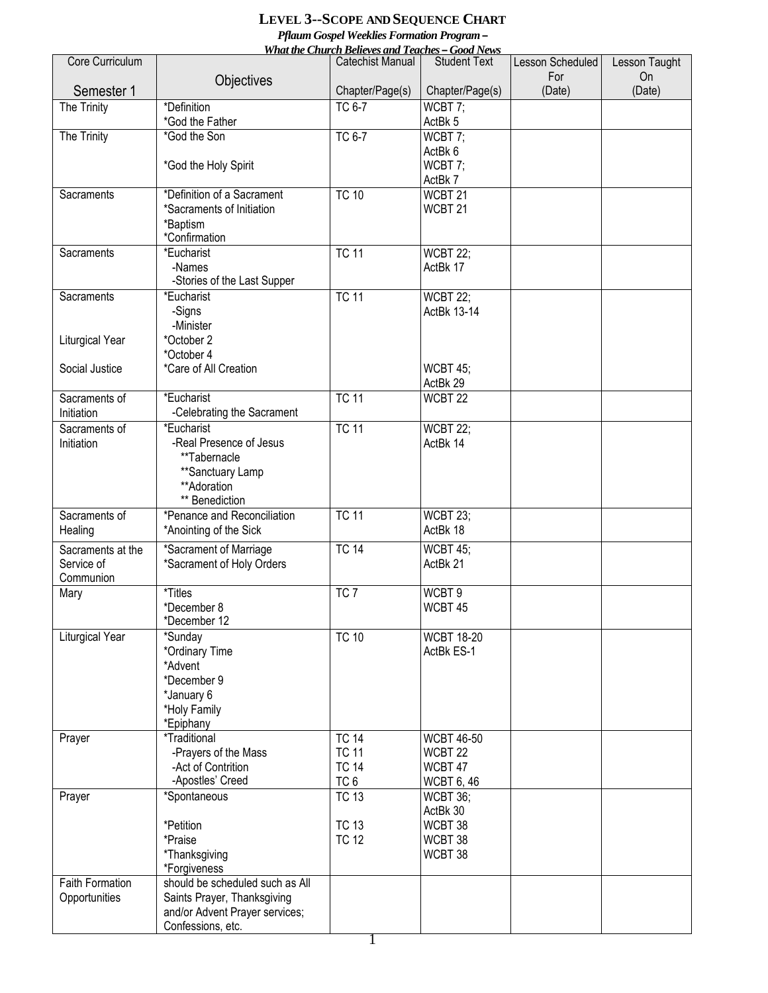## **LEVEL 3--SCOPE AND SEQUENCE CHART**

*Pflaum Gospel Weeklies Formation Program –*

| <b>What the Church Believes and Teaches - Good News</b> |                                               |                              |                                |                  |               |  |  |  |  |
|---------------------------------------------------------|-----------------------------------------------|------------------------------|--------------------------------|------------------|---------------|--|--|--|--|
| Core Curriculum                                         |                                               | Catechist Manual             | <b>Student Text</b>            | Lesson Scheduled | Lesson Taught |  |  |  |  |
| Semester 1                                              | Objectives                                    | Chapter/Page(s)              | Chapter/Page(s)                | For<br>(Date)    | On<br>(Date)  |  |  |  |  |
| The Trinity                                             | *Definition                                   | <b>TC 6-7</b>                | WCBT 7;                        |                  |               |  |  |  |  |
|                                                         | *God the Father                               |                              | ActBk 5                        |                  |               |  |  |  |  |
| The Trinity                                             | *God the Son                                  | TC 6-7                       | WCBT 7;                        |                  |               |  |  |  |  |
|                                                         |                                               |                              | ActBk 6                        |                  |               |  |  |  |  |
|                                                         | *God the Holy Spirit                          |                              | WCBT 7;                        |                  |               |  |  |  |  |
| Sacraments                                              | *Definition of a Sacrament                    | <b>TC 10</b>                 | ActBk 7<br>WCBT <sub>21</sub>  |                  |               |  |  |  |  |
|                                                         | *Sacraments of Initiation                     |                              | WCBT <sub>21</sub>             |                  |               |  |  |  |  |
|                                                         | *Baptism                                      |                              |                                |                  |               |  |  |  |  |
|                                                         | *Confirmation                                 |                              |                                |                  |               |  |  |  |  |
| Sacraments                                              | *Eucharist                                    | <b>TC 11</b>                 | WCBT 22;                       |                  |               |  |  |  |  |
|                                                         | -Names                                        |                              | ActBk 17                       |                  |               |  |  |  |  |
| Sacraments                                              | -Stories of the Last Supper<br>*Eucharist     | <b>TC 11</b>                 |                                |                  |               |  |  |  |  |
|                                                         | -Signs                                        |                              | <b>WCBT 22;</b><br>ActBk 13-14 |                  |               |  |  |  |  |
|                                                         | -Minister                                     |                              |                                |                  |               |  |  |  |  |
| Liturgical Year                                         | *October 2                                    |                              |                                |                  |               |  |  |  |  |
|                                                         | *October 4                                    |                              |                                |                  |               |  |  |  |  |
| Social Justice                                          | *Care of All Creation                         |                              | <b>WCBT 45;</b>                |                  |               |  |  |  |  |
|                                                         | *Eucharist                                    | <b>TC 11</b>                 | ActBk 29                       |                  |               |  |  |  |  |
| Sacraments of<br>Initiation                             | -Celebrating the Sacrament                    |                              | WCBT <sub>22</sub>             |                  |               |  |  |  |  |
| Sacraments of                                           | *Eucharist                                    | <b>TC 11</b>                 | <b>WCBT 22;</b>                |                  |               |  |  |  |  |
| Initiation                                              | -Real Presence of Jesus                       |                              | ActBk 14                       |                  |               |  |  |  |  |
|                                                         | **Tabernacle                                  |                              |                                |                  |               |  |  |  |  |
|                                                         | **Sanctuary Lamp                              |                              |                                |                  |               |  |  |  |  |
|                                                         | **Adoration                                   |                              |                                |                  |               |  |  |  |  |
| Sacraments of                                           | ** Benediction<br>*Penance and Reconciliation | <b>TC 11</b>                 | WCBT 23;                       |                  |               |  |  |  |  |
| Healing                                                 | *Anointing of the Sick                        |                              | ActBk 18                       |                  |               |  |  |  |  |
| Sacraments at the                                       | *Sacrament of Marriage                        | <b>TC 14</b>                 | <b>WCBT 45;</b>                |                  |               |  |  |  |  |
| Service of                                              | *Sacrament of Holy Orders                     |                              | ActBk 21                       |                  |               |  |  |  |  |
| Communion                                               |                                               |                              |                                |                  |               |  |  |  |  |
| Mary                                                    | *Titles                                       | TC7                          | WCBT9                          |                  |               |  |  |  |  |
|                                                         | *December 8                                   |                              | WCBT 45                        |                  |               |  |  |  |  |
| Liturgical Year                                         | *December 12<br>*Sunday                       | <b>TC 10</b>                 | <b>WCBT 18-20</b>              |                  |               |  |  |  |  |
|                                                         | *Ordinary Time                                |                              | ActBk ES-1                     |                  |               |  |  |  |  |
|                                                         | *Advent                                       |                              |                                |                  |               |  |  |  |  |
|                                                         | *December 9                                   |                              |                                |                  |               |  |  |  |  |
|                                                         | *January 6                                    |                              |                                |                  |               |  |  |  |  |
|                                                         | *Holy Family                                  |                              |                                |                  |               |  |  |  |  |
| Prayer                                                  | *Epiphany<br><i>*Traditional</i>              | <b>TC 14</b>                 | <b>WCBT 46-50</b>              |                  |               |  |  |  |  |
|                                                         | -Prayers of the Mass                          | <b>TC 11</b>                 | WCBT <sub>22</sub>             |                  |               |  |  |  |  |
|                                                         | -Act of Contrition                            | <b>TC 14</b>                 | WCBT 47                        |                  |               |  |  |  |  |
|                                                         | -Apostles' Creed                              | TC <sub>6</sub>              | <b>WCBT 6, 46</b>              |                  |               |  |  |  |  |
| Prayer                                                  | *Spontaneous                                  | <b>TC 13</b>                 | <b>WCBT 36;</b>                |                  |               |  |  |  |  |
|                                                         |                                               |                              | ActBk 30                       |                  |               |  |  |  |  |
|                                                         | *Petition<br>*Praise                          | <b>TC 13</b><br><b>TC 12</b> | WCBT 38<br>WCBT 38             |                  |               |  |  |  |  |
|                                                         | *Thanksgiving                                 |                              | WCBT 38                        |                  |               |  |  |  |  |
|                                                         | *Forgiveness                                  |                              |                                |                  |               |  |  |  |  |
| <b>Faith Formation</b>                                  | should be scheduled such as All               |                              |                                |                  |               |  |  |  |  |
| Opportunities                                           | Saints Prayer, Thanksgiving                   |                              |                                |                  |               |  |  |  |  |
|                                                         | and/or Advent Prayer services;                |                              |                                |                  |               |  |  |  |  |
|                                                         | Confessions, etc.                             |                              |                                |                  |               |  |  |  |  |